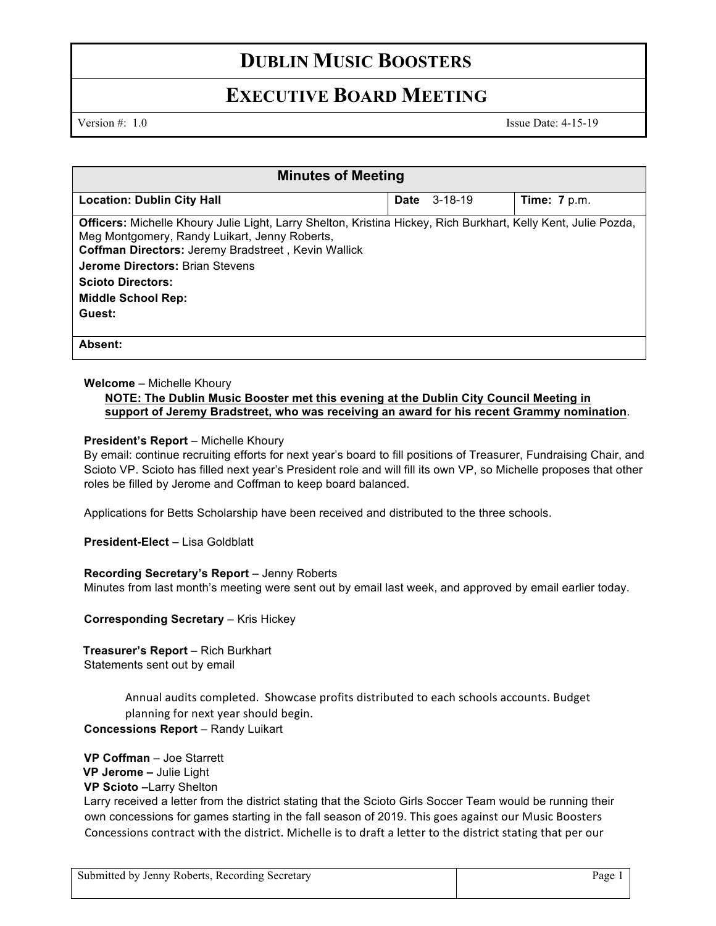### **DUBLIN MUSIC BOOSTERS**

### **EXECUTIVE BOARD MEETING**

Version #: 1.0 Issue Date: 4-15-19

| <b>Minutes of Meeting</b>                                                                                                                                                                                                                                                                                                           |      |               |                |  |
|-------------------------------------------------------------------------------------------------------------------------------------------------------------------------------------------------------------------------------------------------------------------------------------------------------------------------------------|------|---------------|----------------|--|
| <b>Location: Dublin City Hall</b>                                                                                                                                                                                                                                                                                                   | Date | $3 - 18 - 19$ | Time: $7 p.m.$ |  |
| Officers: Michelle Khoury Julie Light, Larry Shelton, Kristina Hickey, Rich Burkhart, Kelly Kent, Julie Pozda,<br>Meg Montgomery, Randy Luikart, Jenny Roberts,<br>Coffman Directors: Jeremy Bradstreet, Kevin Wallick<br><b>Jerome Directors: Brian Stevens</b><br><b>Scioto Directors:</b><br><b>Middle School Rep:</b><br>Guest: |      |               |                |  |
| Absent:                                                                                                                                                                                                                                                                                                                             |      |               |                |  |

#### **Welcome** – Michelle Khoury

#### **NOTE: The Dublin Music Booster met this evening at the Dublin City Council Meeting in support of Jeremy Bradstreet, who was receiving an award for his recent Grammy nomination**.

#### **President's Report** – Michelle Khoury

By email: continue recruiting efforts for next year's board to fill positions of Treasurer, Fundraising Chair, and Scioto VP. Scioto has filled next year's President role and will fill its own VP, so Michelle proposes that other roles be filled by Jerome and Coffman to keep board balanced.

Applications for Betts Scholarship have been received and distributed to the three schools.

**President-Elect –** Lisa Goldblatt

#### **Recording Secretary's Report** – Jenny Roberts

Minutes from last month's meeting were sent out by email last week, and approved by email earlier today.

**Corresponding Secretary – Kris Hickey** 

**Treasurer's Report** – Rich Burkhart Statements sent out by email

> Annual audits completed. Showcase profits distributed to each schools accounts. Budget planning for next year should begin.

**Concessions Report** – Randy Luikart

**VP Coffman** – Joe Starrett **VP Jerome –** Julie Light **VP Scioto –**Larry Shelton Larry received a letter from the district stating that the Scioto Girls Soccer Team would be running their own concessions for games starting in the fall season of 2019. This goes against our Music Boosters Concessions contract with the district. Michelle is to draft a letter to the district stating that per our